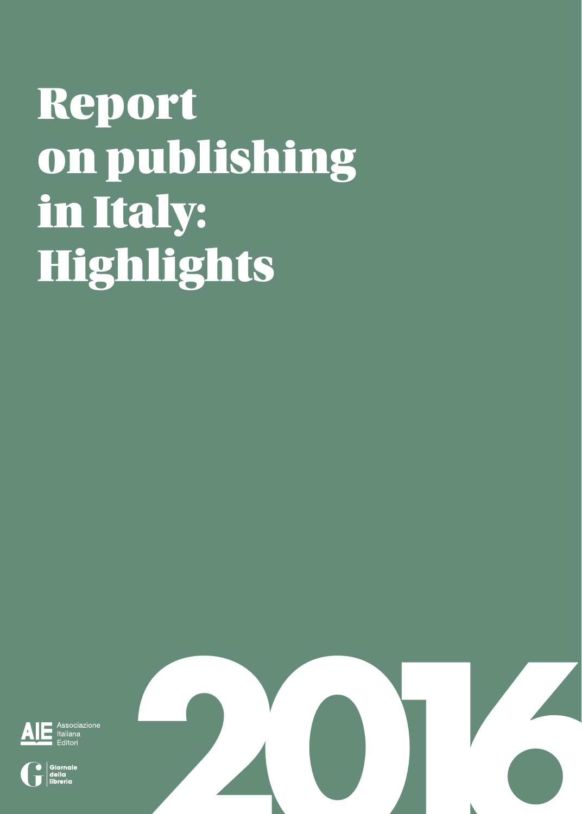### Report on publishing in Italy: **Highlights**

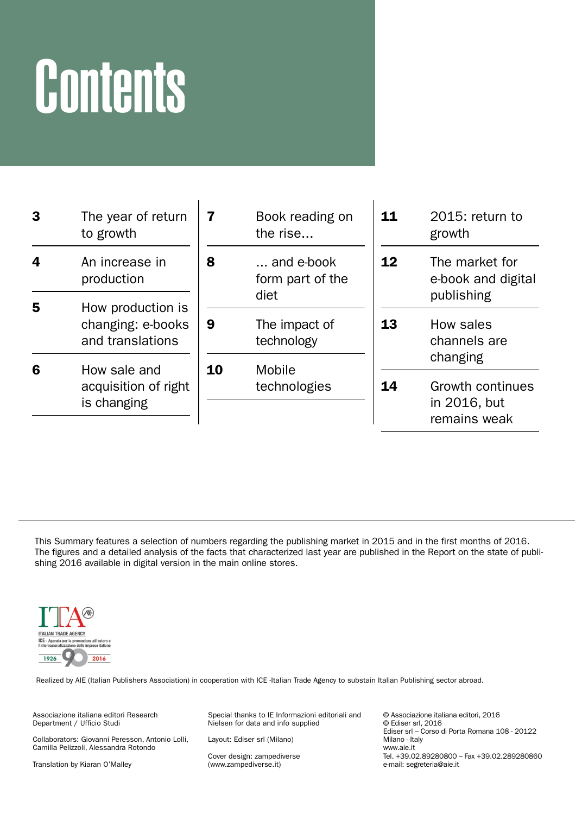# **Contents**

| 3                      | The year of return<br>to growth       | 7  | Book reading on<br>the rise    | 11 | $2015$ : return to<br>growth                     |
|------------------------|---------------------------------------|----|--------------------------------|----|--------------------------------------------------|
| 4                      | An increase in<br>production          | 8  | and e-book<br>form part of the | 12 | The market for<br>e-book and digital             |
| 5<br>How production is |                                       |    | diet                           |    | publishing                                       |
|                        | changing: e-books<br>and translations | 9  | The impact of<br>technology    | 13 | How sales<br>channels are<br>changing            |
| 6                      | How sale and                          | 10 | Mobile                         |    |                                                  |
|                        | acquisition of right<br>is changing   |    | technologies                   | 14 | Growth continues<br>in 2016, but<br>remains weak |

This Summary features a selection of numbers regarding the publishing market in 2015 and in the first months of 2016. The figures and a detailed analysis of the facts that characterized last year are published in the Report on the state of publishing 2016 available in digital version in the main online stores.



Realized by AIE (Italian Publishers Association) in cooperation with ICE -Italian Trade Agency to substain Italian Publishing sector abroad.

Associazione italiana editori Research Department / Ufficio Studi

Collaborators: Giovanni Peresson, Antonio Lolli, Camilla Pelizzoli, Alessandra Rotondo

Translation by Kiaran O'Malley

Special thanks to IE Informazioni editoriali and Nielsen for data and info supplied

Layout: Ediser srl (Milano)

Cover design: zampediverse (www.zampediverse.it)

© Associazione italiana editori, 2016 © Ediser srl, 2016 Ediser srl – Corso di Porta Romana 108 - 20122 Milano - Italy www.aie.it Tel. +39.02.89280800 - Fax +39.02.289280860 e-mail: segreteria@aie.it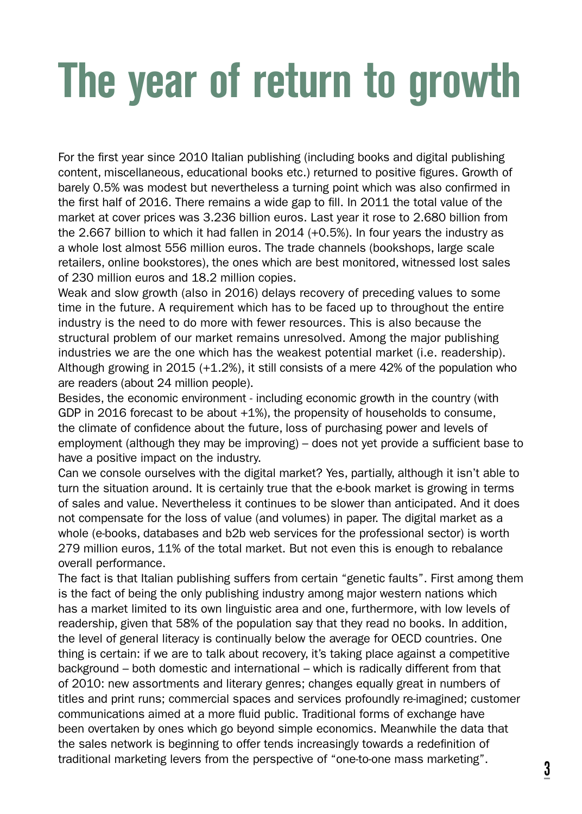# *The year of return to growth*

For the first year since 2010 Italian publishing (including books and digital publishing content, miscellaneous, educational books etc.) returned to positive figures. Growth of barely 0.5% was modest but nevertheless a turning point which was also confirmed in the first half of 2016. There remains a wide gap to fill. In 2011 the total value of the market at cover prices was 3.236 billion euros. Last year it rose to 2.680 billion from the 2.667 billion to which it had fallen in 2014 (+0.5%). In four years the industry as a whole lost almost 556 million euros. The trade channels (bookshops, large scale retailers, online bookstores), the ones which are best monitored, witnessed lost sales of 230 million euros and 18.2 million copies.

Weak and slow growth (also in 2016) delays recovery of preceding values to some time in the future. A requirement which has to be faced up to throughout the entire industry is the need to do more with fewer resources. This is also because the structural problem of our market remains unresolved. Among the major publishing industries we are the one which has the weakest potential market (i.e. readership). Although growing in 2015 (+1.2%), it still consists of a mere 42% of the population who are readers (about 24 million people).

Besides, the economic environment - including economic growth in the country (with GDP in 2016 forecast to be about +1%), the propensity of households to consume, the climate of confidence about the future, loss of purchasing power and levels of employment (although they may be improving) – does not yet provide a sufficient base to have a positive impact on the industry.

Can we console ourselves with the digital market? Yes, partially, although it isn't able to turn the situation around. It is certainly true that the e-book market is growing in terms of sales and value. Nevertheless it continues to be slower than anticipated. And it does not compensate for the loss of value (and volumes) in paper. The digital market as a whole (e-books, databases and b2b web services for the professional sector) is worth 279 million euros, 11% of the total market. But not even this is enough to rebalance overall performance.

The fact is that Italian publishing suffers from certain "genetic faults". First among them is the fact of being the only publishing industry among major western nations which has a market limited to its own linguistic area and one, furthermore, with low levels of readership, given that 58% of the population say that they read no books. In addition, the level of general literacy is continually below the average for OECD countries. One thing is certain: if we are to talk about recovery, it's taking place against a competitive background – both domestic and international – which is radically different from that of 2010: new assortments and literary genres; changes equally great in numbers of titles and print runs; commercial spaces and services profoundly re-imagined; customer communications aimed at a more fluid public. Traditional forms of exchange have been overtaken by ones which go beyond simple economics. Meanwhile the data that the sales network is beginning to offer tends increasingly towards a redefinition of traditional marketing levers from the perspective of "one-to-one mass marketing".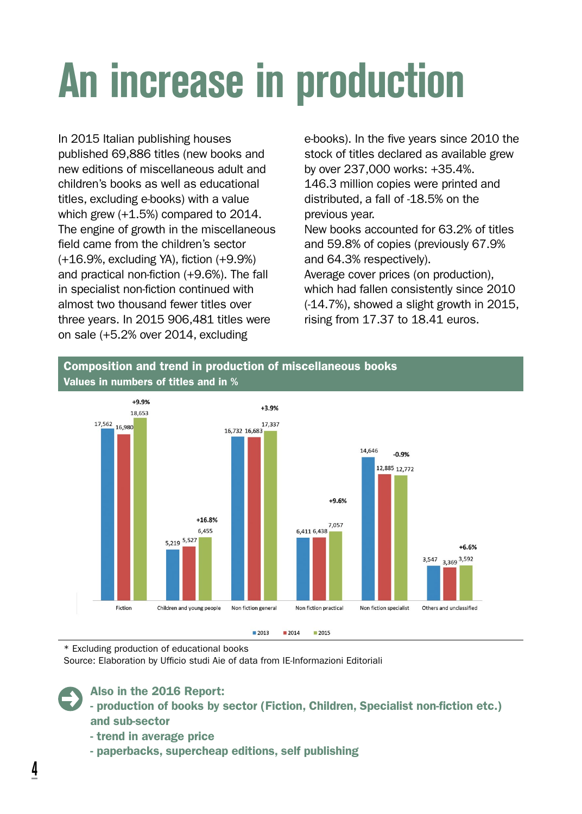# *An increase in production*

In 2015 Italian publishing houses published 69,886 titles (new books and new editions of miscellaneous adult and children's books as well as educational titles, excluding e-books) with a value which grew (+1.5%) compared to 2014. The engine of growth in the miscellaneous field came from the children's sector (+16.9%, excluding YA), fiction (+9.9%) and practical non-fiction (+9.6%). The fall in specialist non-fiction continued with almost two thousand fewer titles over three years. In 2015 906,481 titles were on sale (+5.2% over 2014, excluding

e-books). In the five years since 2010 the stock of titles declared as available grew by over 237,000 works: +35.4%. 146.3 million copies were printed and distributed, a fall of -18.5% on the previous year.

New books accounted for 63.2% of titles and 59.8% of copies (previously 67.9% and 64.3% respectively).

Average cover prices (on production), which had fallen consistently since 2010 (-14.7%), showed a slight growth in 2015, rising from 17.37 to 18.41 euros.

#### Composition and trend in production of miscellaneous books Values in numbers of titles and in %



\* Excluding production of educational books

Source: Elaboration by Ufficio studi Aie of data from IE-Informazioni Editoriali



Also in the 2016 Report:

- production of books by sector (Fiction, Children, Specialist non-fiction etc.) and sub-sector

- trend in average price
- paperbacks, supercheap editions, self publishing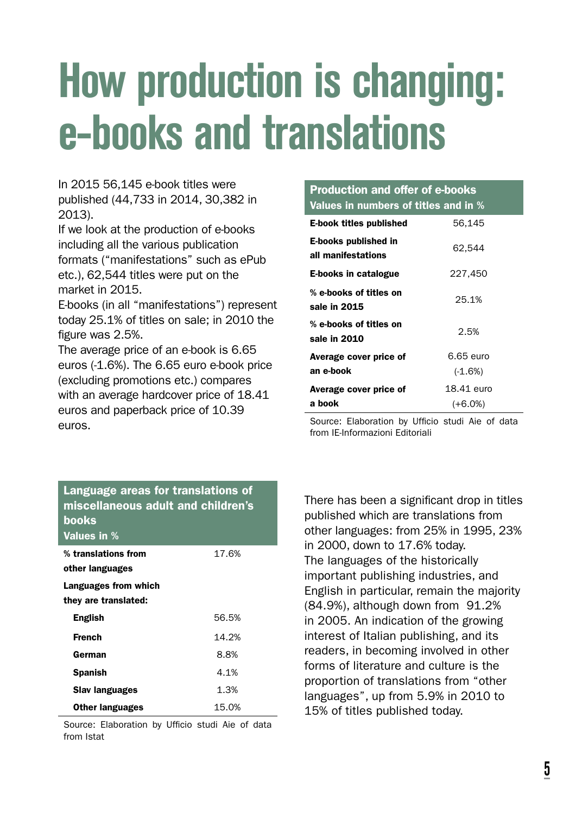### *How production is changing: e-books and translations*

In 2015 56,145 e-book titles were published (44,733 in 2014, 30,382 in 2013).

If we look at the production of e-books including all the various publication formats ("manifestations" such as ePub etc.), 62,544 titles were put on the market in 2015.

E-books (in all "manifestations") represent today 25.1% of titles on sale; in 2010 the figure was 2.5%.

The average price of an e-book is 6.65 euros (-1.6%). The 6.65 euro e-book price (excluding promotions etc.) compares with an average hardcover price of 18.41 euros and paperback price of 10.39 euros.

#### Production and offer of e-books Values in numbers of titles and in % E-book titles published 56,145 E-books published in all manifestations 62,544 E-books in catalogue 227,450 % e-books of titles on sale in 2015 25.1% % e-books of titles on sale in 2010 2.5% Average cover price of an e-book 6.65 euro (-1.6%) Average cover price of a book 18.41 euro (+6.0%)

Source: Elaboration by Ufficio studi Aie of data from IE-Informazioni Editoriali

| Language areas for translations of<br>miscellaneous adult and children's<br>books<br>Values in % |       |
|--------------------------------------------------------------------------------------------------|-------|
| % translations from                                                                              | 17.6% |
| other languages                                                                                  |       |
| Languages from which                                                                             |       |
| they are translated:                                                                             |       |
| <b>English</b>                                                                                   | 56.5% |
| French                                                                                           | 14.2% |
| German                                                                                           | 8.8%  |
| Spanish                                                                                          | 4.1%  |
| <b>Slav languages</b>                                                                            | 1.3%  |
| <b>Other languages</b>                                                                           | 15.0% |
|                                                                                                  |       |

Source: Elaboration by Ufficio studi Aie of data from Istat

There has been a significant drop in titles published which are translations from other languages: from 25% in 1995, 23% in 2000, down to 17.6% today. The languages of the historically important publishing industries, and English in particular, remain the majority (84.9%), although down from 91.2% in 2005. An indication of the growing interest of Italian publishing, and its readers, in becoming involved in other forms of literature and culture is the proportion of translations from "other languages", up from 5.9% in 2010 to 15% of titles published today.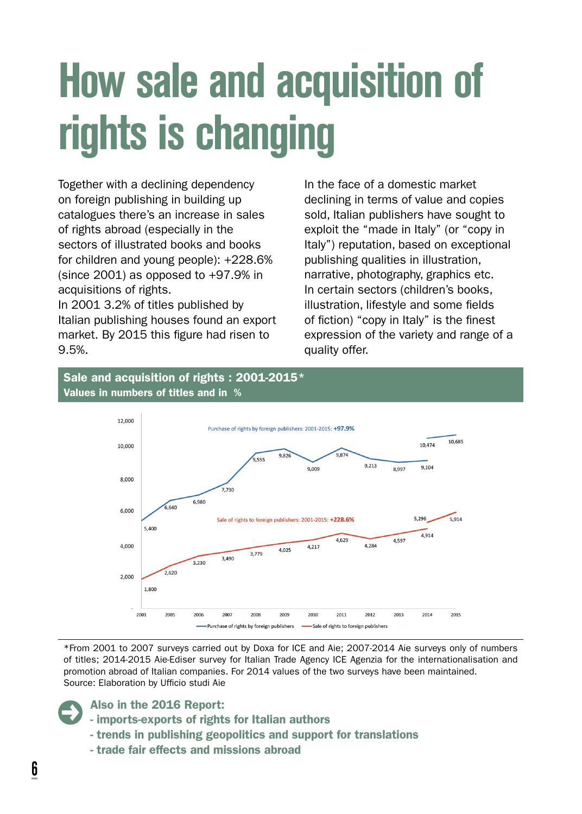### *How sale and acquisition of rights is changing*

Together with a declining dependency on foreign publishing in building up catalogues there's an increase in sales of rights abroad (especially in the sectors of illustrated books and books for children and young people): +228.6% (since 2001) as opposed to  $+97.9\%$  in acquisitions of rights.

In 2001 3.2% of titles published by Italian publishing houses found an export market. By 2015 this figure had risen to 9.5%.

In the face of a domestic market declining in terms of value and copies sold, Italian publishers have sought to exploit the "made in Italy" (or "copy in Italy") reputation, based on exceptional publishing qualities in illustration, narrative, photography, graphics etc. In certain sectors (children's books, illustration, lifestyle and some fields of fiction) "copy in Italy" is the finest expression of the variety and range of a quality offer.

#### Sale and acquisition of rights : 2001-2015\* Values in numbers of titles and in %



\*From 2001 to 2007 surveys carried out by Doxa for ICE and Aie; 2007-2014 Aie surveys only of numbers of titles; 2014-2015 Aie-Ediser survey for Italian Trade Agency ICE Agenzia for the internationalisation and promotion abroad of Italian companies. For 2014 values of the two surveys have been maintained. Source: Elaboration by Ufficio studi Aie

- imports-exports of rights for Italian authors
- trends in publishing geopolitics and support for translations
- trade fair effects and missions abroad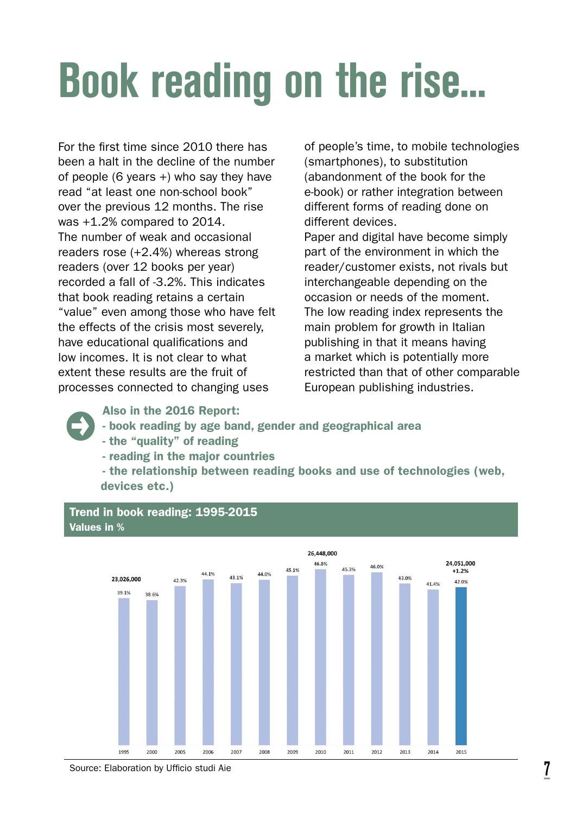# *Book reading on the rise...*

For the first time since 2010 there has been a halt in the decline of the number of people (6 years +) who say they have read "at least one non-school book" over the previous 12 months. The rise was +1.2% compared to 2014. The number of weak and occasional readers rose (+2.4%) whereas strong readers (over 12 books per year) recorded a fall of -3.2%. This indicates that book reading retains a certain "value" even among those who have felt the effects of the crisis most severely, have educational qualifications and low incomes. It is not clear to what extent these results are the fruit of processes connected to changing uses

of people's time, to mobile technologies (smartphones), to substitution (abandonment of the book for the e-book) or rather integration between different forms of reading done on different devices.

Paper and digital have become simply part of the environment in which the reader/customer exists, not rivals but interchangeable depending on the occasion or needs of the moment. The low reading index represents the main problem for growth in Italian publishing in that it means having a market which is potentially more restricted than that of other comparable European publishing industries.

Also in the 2016 Report:

- book reading by age band, gender and geographical area
- the "quality" of reading

Trend in book reading: 1995-2015

- reading in the major countries

- the relationship between reading books and use of technologies (web, devices etc.)



Source: Elaboration by Ufficio studi Aie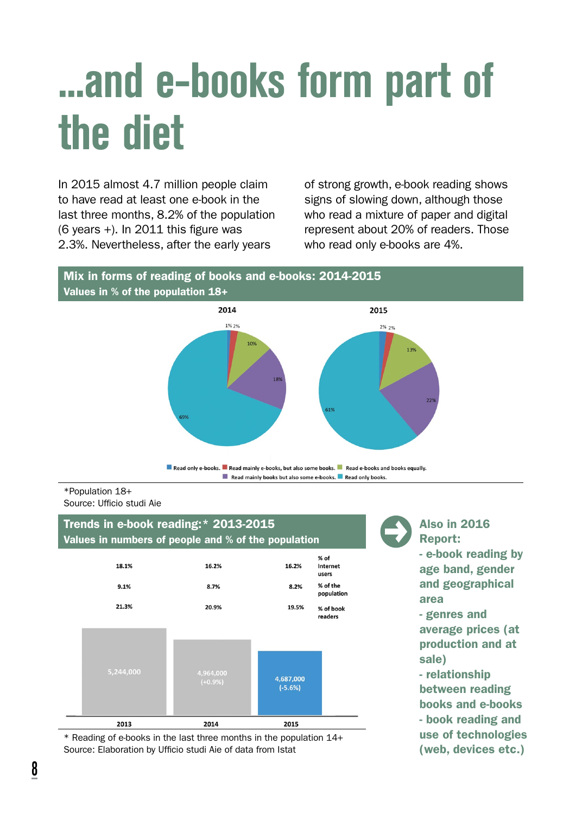### *...and e-books form part of the diet*

In 2015 almost 4.7 million people claim to have read at least one e-book in the last three months, 8.2% of the population (6 years +). In 2011 this figure was 2.3%. Nevertheless, after the early years

of strong growth, e-book reading shows signs of slowing down, although those who read a mixture of paper and digital represent about 20% of readers. Those who read only e-books are 4%.

#### Mix in forms of reading of books and e-books: 2014-2015 Values in % of the population 18+



#### \*Population 18+ Source: Ufficio studi Aie

#### Trends in e-book reading:\* 2013-2015 Values in numbers of people and % of the population



\* Reading of e-books in the last three months in the population 14+ Source: Elaboration by Ufficio studi Aie of data from Istat

Also in 2016 Report: - e-book reading by age band, gender and geographical area - genres and

average prices (at production and at sale)

- relationship between reading books and e-books - book reading and use of technologies (web, devices etc.)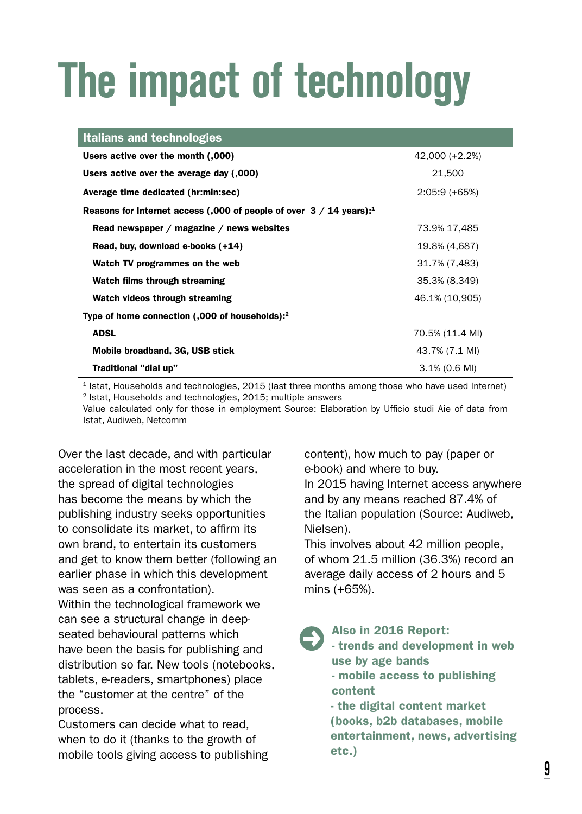# *The impact of technology*

| Italians and technologies                                                       |                  |
|---------------------------------------------------------------------------------|------------------|
| Users active over the month (,000)                                              | 42.000 (+2.2%)   |
| Users active over the average day (,000)                                        | 21.500           |
| Average time dedicated (hr:min:sec)                                             | $2:05:9(+65%)$   |
| Reasons for Internet access (,000 of people of over $3/14$ years): <sup>1</sup> |                  |
| Read newspaper / magazine / news websites                                       | 73.9% 17,485     |
| Read, buy, download e-books (+14)                                               | 19.8% (4,687)    |
| Watch TV programmes on the web                                                  | 31.7% (7,483)    |
| Watch films through streaming                                                   | 35.3% (8,349)    |
| Watch videos through streaming                                                  | 46.1% (10,905)   |
| Type of home connection (,000 of households): <sup>2</sup>                      |                  |
| <b>ADSL</b>                                                                     | 70.5% (11.4 MI)  |
| Mobile broadband, 3G, USB stick                                                 | 43.7% (7.1 MI)   |
| Traditional "dial up"                                                           | $3.1\%$ (0.6 MI) |

1 Istat, Households and technologies, 2015 (last three months among those who have used Internet) 2 Istat, Households and technologies, 2015; multiple answers

Value calculated only for those in employment Source: Elaboration by Ufficio studi Aie of data from Istat, Audiweb, Netcomm

Over the last decade, and with particular acceleration in the most recent years, the spread of digital technologies has become the means by which the publishing industry seeks opportunities to consolidate its market, to affirm its own brand, to entertain its customers and get to know them better (following an earlier phase in which this development was seen as a confrontation). Within the technological framework we can see a structural change in deepseated behavioural patterns which have been the basis for publishing and distribution so far. New tools (notebooks, tablets, e-readers, smartphones) place the "customer at the centre" of the process.

Customers can decide what to read, when to do it (thanks to the growth of mobile tools giving access to publishing content), how much to pay (paper or e-book) and where to buy.

In 2015 having Internet access anywhere and by any means reached 87.4% of the Italian population (Source: Audiweb, Nielsen).

This involves about 42 million people, of whom 21.5 million (36.3%) record an average daily access of 2 hours and 5 mins (+65%).

#### Also in 2016 Report:

- trends and development in web use by age bands - mobile access to publishing

content - the digital content market (books, b2b databases, mobile entertainment, news, advertising etc.)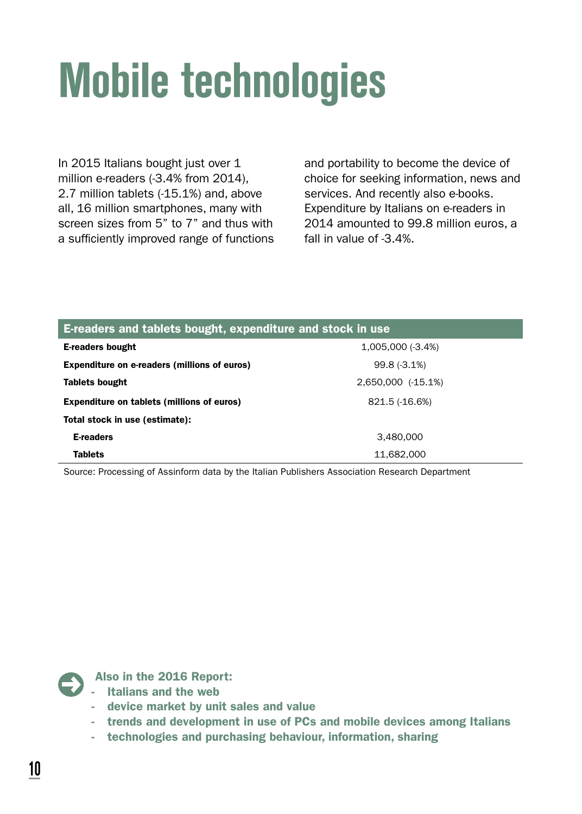# *Mobile technologies*

In 2015 Italians bought just over 1 million e-readers (-3.4% from 2014), 2.7 million tablets (-15.1%) and, above all, 16 million smartphones, many with screen sizes from 5" to 7" and thus with a sufficiently improved range of functions

and portability to become the device of choice for seeking information, news and services. And recently also e-books. Expenditure by Italians on e-readers in 2014 amounted to 99.8 million euros, a fall in value of -3.4%.

| E-readers and tablets bought, expenditure and stock in use |                    |  |
|------------------------------------------------------------|--------------------|--|
| <b>E-readers bought</b>                                    | $1.005.000(-3.4%)$ |  |
| Expenditure on e-readers (millions of euros)               | $99.8(-3.1%)$      |  |
| <b>Tablets bought</b>                                      | 2.650.000 (-15.1%) |  |
| Expenditure on tablets (millions of euros)                 | 821.5 (-16.6%)     |  |
| Total stock in use (estimate):                             |                    |  |
| <b>E-readers</b>                                           | 3.480.000          |  |
| Tablets                                                    | 11,682,000         |  |

Source: Processing of Assinform data by the Italian Publishers Association Research Department



- Italians and the web
- device market by unit sales and value
- trends and development in use of PCs and mobile devices among Italians
- technologies and purchasing behaviour, information, sharing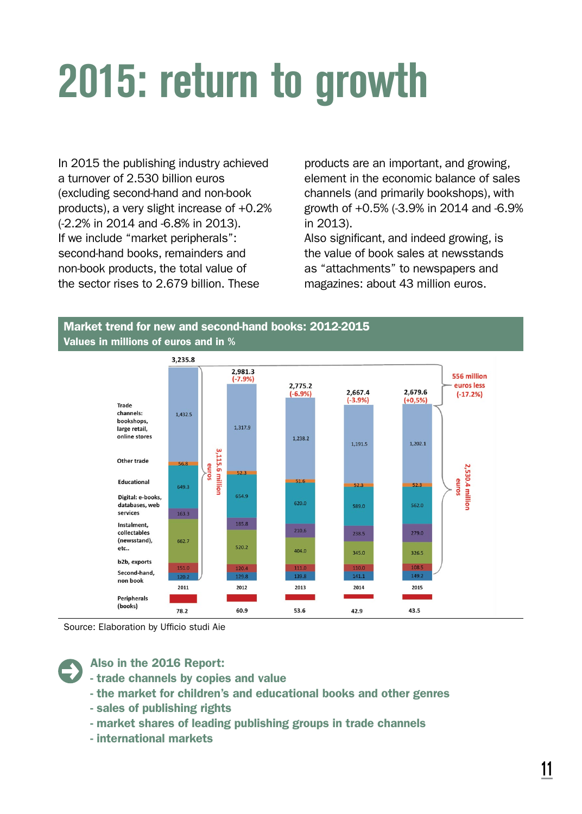# *2015: return to growth*

In 2015 the publishing industry achieved a turnover of 2.530 billion euros (excluding second-hand and non-book products), a very slight increase of +0.2% (-2.2% in 2014 and -6.8% in 2013). If we include "market peripherals": second-hand books, remainders and non-book products, the total value of the sector rises to 2.679 billion. These

products are an important, and growing, element in the economic balance of sales channels (and primarily bookshops), with growth of +0.5% (-3.9% in 2014 and -6.9% in 2013).

Also significant, and indeed growing, is the value of book sales at newsstands as "attachments" to newspapers and magazines: about 43 million euros.





Source: Elaboration by Ufficio studi Aie



- trade channels by copies and value
- the market for children's and educational books and other genres
- sales of publishing rights
- market shares of leading publishing groups in trade channels
- international markets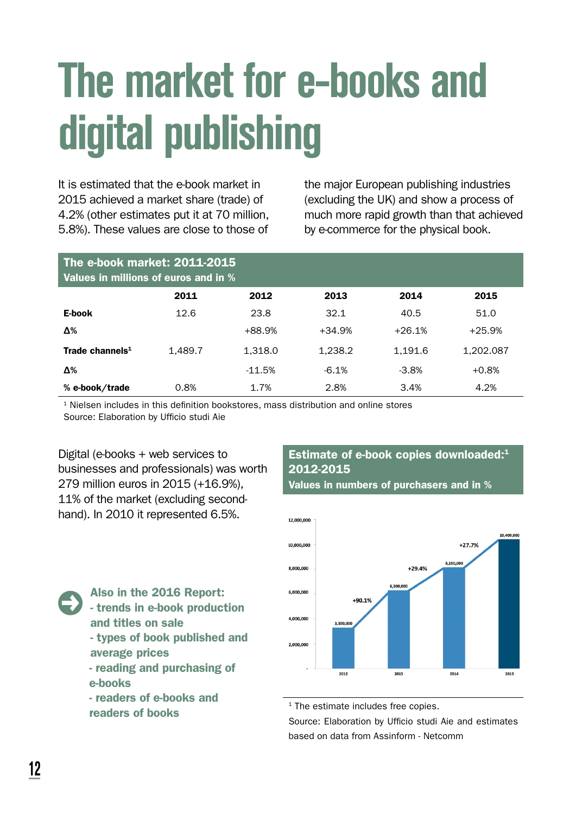### *The market for e-books and digital publishing*

It is estimated that the e-book market in 2015 achieved a market share (trade) of 4.2% (other estimates put it at 70 million, 5.8%). These values are close to those of the major European publishing industries (excluding the UK) and show a process of much more rapid growth than that achieved by e-commerce for the physical book.

| The e-book market: 2011-2015<br>Values in millions of euros and in % |         |          |          |          |           |
|----------------------------------------------------------------------|---------|----------|----------|----------|-----------|
|                                                                      | 2011    | 2012     | 2013     | 2014     | 2015      |
| E-book                                                               | 12.6    | 23.8     | 32.1     | 40.5     | 51.0      |
| Δ%                                                                   |         | $+88.9%$ | $+34.9%$ | $+26.1%$ | $+25.9%$  |
| Trade channels <sup>1</sup>                                          | 1.489.7 | 1.318.0  | 1.238.2  | 1.191.6  | 1.202.087 |
| Δ%                                                                   |         | $-11.5%$ | $-6.1%$  | $-3.8%$  | $+0.8%$   |
| % e-book/trade                                                       | 0.8%    | 1.7%     | 2.8%     | 3.4%     | 4.2%      |

<sup>1</sup> Nielsen includes in this definition bookstores, mass distribution and online stores Source: Elaboration by Ufficio studi Aie

Digital (e-books + web services to businesses and professionals) was worth 279 million euros in 2015 (+16.9%), 11% of the market (excluding secondhand). In 2010 it represented 6.5%.

#### Estimate of e-book copies downloaded: $1$ 2012-2015

Values in numbers of purchasers and in %



Also in the 2016 Report: - trends in e-book production and titles on sale - types of book published and

- average prices - reading and purchasing of
- e-books
- readers of e-books and readers of books

<sup>1</sup> The estimate includes free copies.

Source: Elaboration by Ufficio studi Aie and estimates based on data from Assinform - Netcomm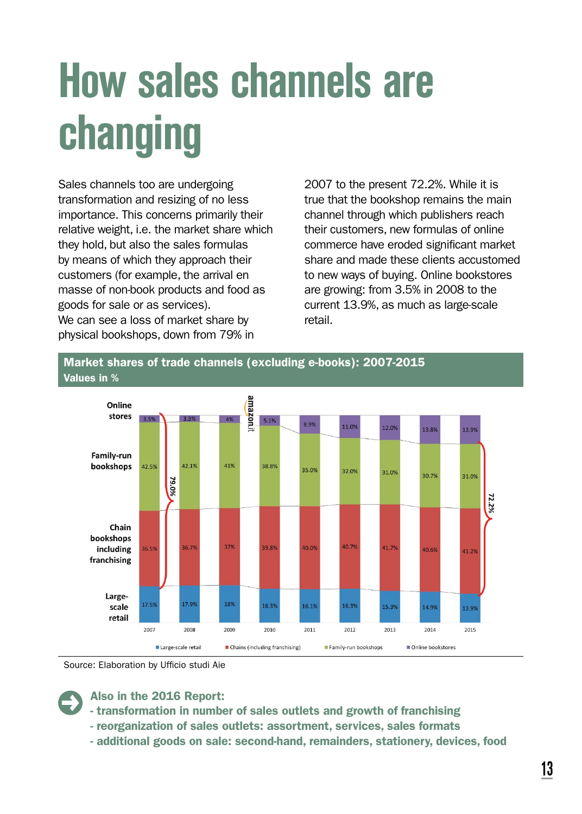# *How sales channels are changing*

Sales channels too are undergoing transformation and resizing of no less importance. This concerns primarily their relative weight, i.e. the market share which they hold, but also the sales formulas by means of which they approach their customers (for example, the arrival en masse of non-book products and food as goods for sale or as services). We can see a loss of market share by physical bookshops, down from 79% in

2007 to the present 72.2%. While it is true that the bookshop remains the main channel through which publishers reach their customers, new formulas of online commerce have eroded significant market share and made these clients accustomed to new ways of buying. Online bookstores are growing: from 3.5% in 2008 to the current 13.9%, as much as large-scale retail.



Source: Elaboration by Ufficio studi Aie

- transformation in number of sales outlets and growth of franchising
- reorganization of sales outlets: assortment, services, sales formats
- additional goods on sale: second-hand, remainders, stationery, devices, food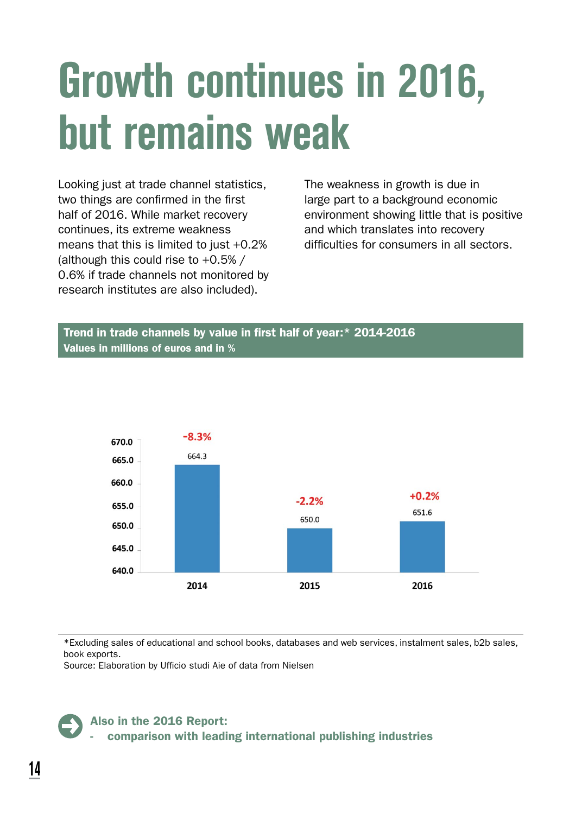### *Growth continues in 2016, but remains weak*

Looking just at trade channel statistics, two things are confirmed in the first half of 2016. While market recovery continues, its extreme weakness means that this is limited to just  $+0.2%$ (although this could rise to +0.5% / 0.6% if trade channels not monitored by research institutes are also included).

The weakness in growth is due in large part to a background economic environment showing little that is positive and which translates into recovery difficulties for consumers in all sectors.

#### Trend in trade channels by value in first half of year:\* 2014-2016 Values in millions of euros and in %



\*Excluding sales of educational and school books, databases and web services, instalment sales, b2b sales, book exports.

Source: Elaboration by Ufficio studi Aie of data from Nielsen

#### Also in the 2016 Report:

- comparison with leading international publishing industries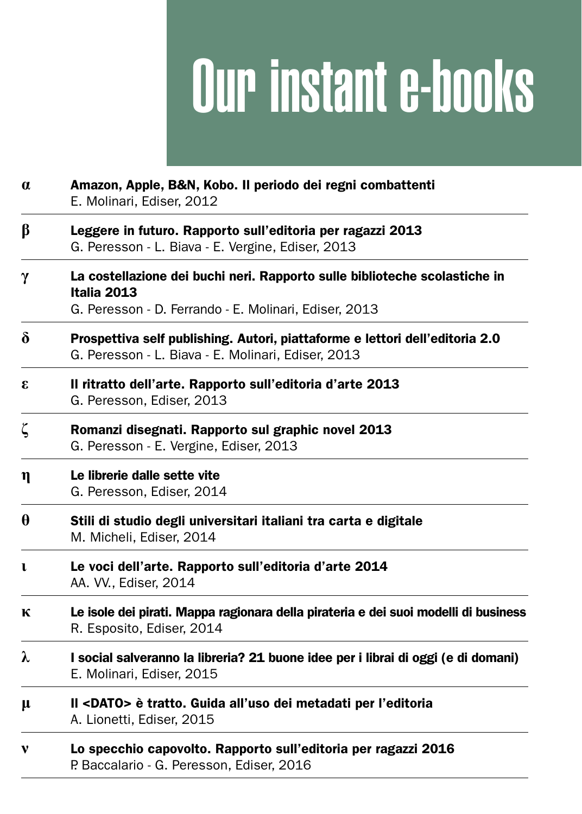# Our instant e-books

| $\alpha$     | Amazon, Apple, B&N, Kobo. Il periodo dei regni combattenti<br>E. Molinari, Ediser, 2012                                                            |  |  |  |  |
|--------------|----------------------------------------------------------------------------------------------------------------------------------------------------|--|--|--|--|
| β            | Leggere in futuro. Rapporto sull'editoria per ragazzi 2013<br>G. Peresson - L. Biava - E. Vergine, Ediser, 2013                                    |  |  |  |  |
| γ            | La costellazione dei buchi neri. Rapporto sulle biblioteche scolastiche in<br>Italia 2013<br>G. Peresson - D. Ferrando - E. Molinari, Ediser, 2013 |  |  |  |  |
| δ            | Prospettiva self publishing. Autori, piattaforme e lettori dell'editoria 2.0<br>G. Peresson - L. Biava - E. Molinari, Ediser, 2013                 |  |  |  |  |
| 3            | Il ritratto dell'arte. Rapporto sull'editoria d'arte 2013<br>G. Peresson, Ediser, 2013                                                             |  |  |  |  |
| ζ            | Romanzi disegnati. Rapporto sul graphic novel 2013<br>G. Peresson - E. Vergine, Ediser, 2013                                                       |  |  |  |  |
| η            | Le librerie dalle sette vite<br>G. Peresson, Ediser, 2014                                                                                          |  |  |  |  |
| $\theta$     | Stili di studio degli universitari italiani tra carta e digitale<br>M. Micheli, Ediser, 2014                                                       |  |  |  |  |
| $\mathbf{L}$ | Le voci dell'arte. Rapporto sull'editoria d'arte 2014<br>AA. VV., Ediser, 2014                                                                     |  |  |  |  |
| К            | Le isole dei pirati. Mappa ragionara della pirateria e dei suoi modelli di business<br>R. Esposito, Ediser, 2014                                   |  |  |  |  |
| λ            | I social salveranno la libreria? 21 buone idee per i librai di oggi (e di domani)<br>E. Molinari, Ediser, 2015                                     |  |  |  |  |
| μ            | Il <dato> è tratto. Guida all'uso dei metadati per l'editoria<br/>A. Lionetti, Ediser, 2015</dato>                                                 |  |  |  |  |
| v            | Lo specchio capovolto. Rapporto sull'editoria per ragazzi 2016<br>P. Baccalario - G. Peresson, Ediser, 2016                                        |  |  |  |  |